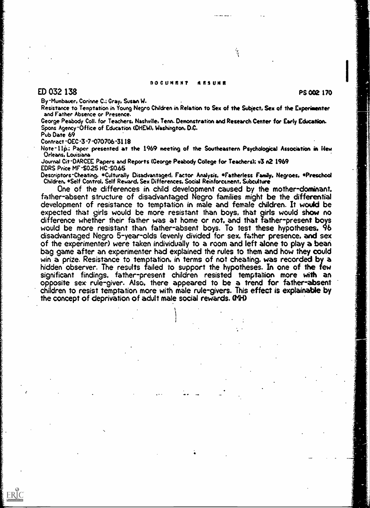#### DOCUMENT AESUNE

٦.<br>آ

# $ED$  032 138 PS 002 170 PS 002 170 PS 002 170 PS 002 170 PS 002 170 PS 002 170 PS 002 170 PS 002 170 PS 002 170 PS 002 170 PS 002 170 PS 002 170 PS 002 170 PS 002 170 PS 002 170 PS 002 170 PS 002 170 PS 002 170 PS 002 170

By -Mumbauer, Corinne C.; Gray, Susan W.

Resistance to Temptation in Young Negro Children in Relation to Sex of the Subject. Sex of the Experimenter and Father Absence or Presence.

George Peabody Coll. for Teachers. Nashville, Tenn. Demonstration and Research Center for Early Education. Spons Agency-Office of Education (OHEW). Washington. D.C.

Pub Date 69

ERIC

Contract -DEC -3 -7 -070706-3118

Note-11p.; Paper presented at the 1969 meeting of the Southeastern Psychological Association in New Orleans. Louisiana

Journal Cit-DARCEE Papers and Reports (George Peabody College for Teachers); v3 n2 1969 EDRS Price MF-\$0.25 HC-\$0.65

Descriptors-Cheating. \*Culturally Disadvantaged, Factor Analysis. \*Fatherless Family. Negroes. \*Preschool Children, \*Self Control, Self Reward. Sex Differences. Social Reinforcement. Subculture

One of the differences in child development caused by the mother-dominant. father-absent structure of disadvantaged Negro families might be the differential development of resistance to temptation in male and female children. It would be expected that girls would be more resistant than boys, that girls would show no<br>difference whether their father was at home or not, and that father-present boys would be more resistant than father-absent boys. To test these hypotheses, 96 disadvantaged Negro 5-year-olds (evenly divided for sex, father presence. and sex of the experimenter) were taken individually to a room and left alone to play a bean bag game after an experimenter had explained the rules to them and how they could win a prize. Resistance to temptation, in terms of not cheating, was recorded by a hidden observer. The results failed to support the hypotheses. In one of the few significant findings, father-present children resisted temptation more with an opposite sex rule-giver. Also. there appeared to be a trend for father-absent children to resist temptation more with male rule-givers. This effect is explainable by the concept of deprivation of adult male social rewards. NH)

 $\mathbf{I}$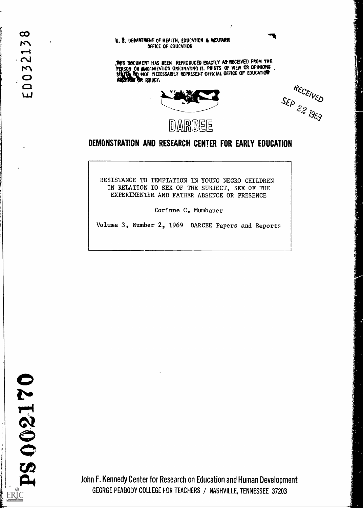#### U. S. DEPARTMENT OF HEALTH, EDUCATION & WELFARIS OFFICE OF EDUCATION

THIS DOCUMERT HAS SEEN REPRODUCED EXACTLY AS RECEIVED FROM THE PERSON OR ORGANIZATION ORIGINATING IT. POINTS OF VIEW OR OPINIONS NOT NECESSARILY REPRESENT OFFICIAL OFFICE OF EDUCATION PAY. AND THE TANK OF THE TANK OF THE TANK OF THE TANK OF THE TANK OF THE TANK OF THE TANK OF THE TANK OF THE T

 $\ddot{z}$ 



RECEIVED<br>SEP 22 1969

# DEMONSTRATION AND RESEARCH CENTER FOR EARLY EDUCATION

RESISTANCE TO TEMPTATION IN YOUNG NEGRO CHILDREN IN RELATION TO SEX OF THE SUBJECT, SEX OF THE EXPERIMENTER AND FATHER ABSENCE OR PRESENCE

Corinne C. Mumbauer

Volume 3, Number 2, 1969 DARCEE Papers and Reports

 $\infty$  $\mathbf{r}$ 

 $321.$ 

 $\overline{0}$ 

ப

John F. Kennedy Center for Research on Education and Human Development GEORGE PEABODY COLLEGE FOR TEACHERS / NASHVILLE, TENNESSEE 37203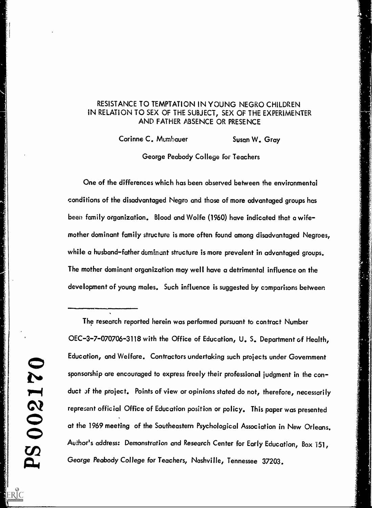## RESISTANCE TO TEMPTATION IN YOUNG NEGRO CHILDREN IN RELATION TO SEX OF THE SUBJECT, SEX OF THE EXPERiMENTER AND FATHER ABSENCE OR PRESENCE

Corinne C. Mumbauer Susan W. Gray

George Peabody College for Teachers

One of the differences which has been observed between the environmental conditions of the disadvantaged Negro and those of more advantaged groups has been family organization. Blood and Wolfe (1960) have indicated that a wifemother dominant family structure is more often found among disadvantaged Negroes, while a husband-father dominant structure is more prevalent in advantaged groups. The mother dominant organization may well have a detrimental influence on the development of young males. Such influence is suggested by comparisons between

The research reported herein was performed pursuant to contract Number OEC-3-7-070706-3118 with the Office of Education, U. S. Department of Health, Education, and Welfare. Contractors undertaking such projects under Government sponsorship are encouraged to express freely their professional judgment in the conduct of the project. Points of view or opinions stated do not, therefore, necessarily represent official Office of Education position or policy. This paper was presented at the 1969 meeting of the Southeastern Psychological Association in New Orleans. Author's address: Demonstration and Research Center for Early Education, Box 151, George Peabody College for Teachers, Nashville, Tennessee 37203.

.1.1.i ...1.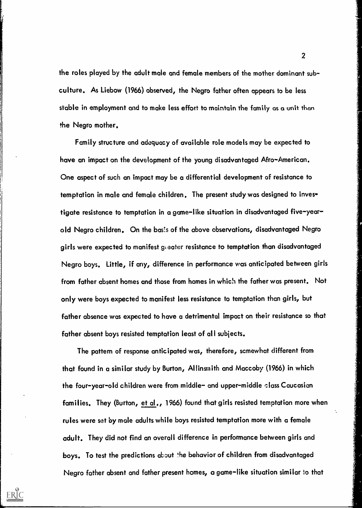the roles played by the adult male and female members of the mother dominant subculture. As Liebow (1966) observed, the Negro father often appears to be less stable in employment and to make less effort to maintain the family as a unit than the Negro mother.

Family structure and adequacy of available role models may be expected to have an impact on the development of the young disadvantaged Afro-American. One aspect of such an impact may be a differential development of resistance to temptation in male and female children. The present study was designed to inves' tigate resistance to temptation in a game-like situation in disadvantaged five-yearold Negro children. On the bas!s of the above observations, disadvantaged Negro girls were expected to manifest greater resistance to temptation than disadvantaged Negro boys. Little, if any, difference in performance was anticipated between girls from father absent homes and those from homes in which the father was present. Not only were boys expected to manifest less resistance to temptation than girls, but father absence was expected to have a detrimental impact on their resistance so that father absent boys resisted temptation least of all subjects.

The pattern of response anticipated was, therefore, scmewhat different from that found in a similar study by Burton, Allinsraith and Maccoby (1966) in which the four-year-old children were from middle- and upper-middle class Caucasian families. They (Burton, et al., 1966) found that girls resisted temptation more when rules were set by mole adults while boys resisted temptation more with a female adult. They did not find an overall difference in performance between girls and boys. To test the predictions about the behavior of children from disadvantaged Negro father absent and father present homes, a game-like situation similar io that

ERIC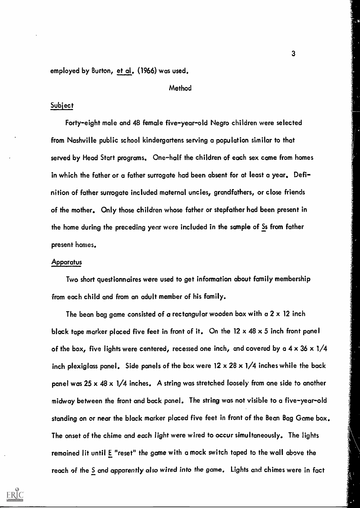employed by Burton, et al. (1966) was used.

#### Method

### **Subject**

Forty-eight male and 48 female five-year-old Negro children were selected from Nashville public school kindergartens serving a population similar to that served by Head Start programs. One-half the children of each sex came from homes in which the father or a father surrogate had been absent for at least a year. Definition of father surrogate included maternal uncles, grandfathers, or close friends of the mother. Only those children whose father or stepfather had been present in the home during the preceding year were included in the sample of Ss from father present homes.

#### Apparatus

Two short questionnaires were used to get information about family membership from each child and from an adult member of his family.

The bean bag game consisted of a rectangular wooden box with a  $2 \times 12$  inch black tape marker placed five feet in front of it. On the 12  $\times$  48  $\times$  5 inch front panel of the box, five lights were centered, recessed one inch, and covered by a  $4 \times 36 \times 1/4$ inch plexiglass panel. Side panels of the box were  $12 \times 28 \times 1/4$  inches while the back panel was 25 x 48 x 1/4 inches. A string was stretched loosely from one side to another midway between the front and back panel. The string was not visible to a five-year-old standing on or near the black marker placed five feet in front of the Bean Bag Game box. The onset of the chime and each light were wired to occur simultaneously. The lights remained lit until E "reset" the game with a mock switch taped to the wall above the reach of the S and apparently also wired into the game. Lights and chimes were in fact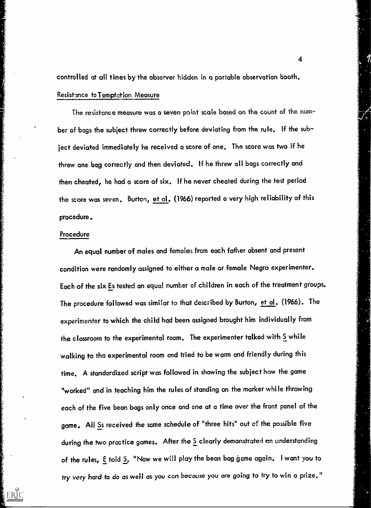controlled at all times by the observer hidden in a portable observation booth.

## Resistance to Temptation Measure

The resistance measure was a seven point scale based on the count of the number of bags the subject threw correctly before deviating from the rule. if the subject deviated immediately he received a score of one, The score was two if he threw one bag correctly and then deviated. If he threw all bags correctly and then cheated, he had a score of six. If he never cheated during the test period the score was seven. Burton, et al. (1966) reported a very high reliability of this procedure.

#### Procedure

ERIC

An equal number of males and females from each father absent and present condition were randomly assigned to either a male or female Negro experimenter. Each of the six Es tested an equal number of children in each of the treatment groups. The procedure followed was similar to that described by Burton, et al. (1966). The experimenter to which the child had been assigned brought him individually from the classroom to the experimental room. The experimenter talked with  $\sum\limits_{n=1}^{\infty}$  while walking to the experimental room and tried to be warm and friendly during this time. A standardized script was followed in showing the subject how the game "worked" and in teaching him the rules of standing on the marker while throwing each of the five bean bags only once and one at a time over the front panel of the game. All Ss received the same schedule of "three hits" out of the possible five during the two practice games. After the S clearly demonstrated an understanding of the rules, E told S, "Now we will play the bean bag game again. I want you to try very hard to do as well as you can because you are going to try to win a prize."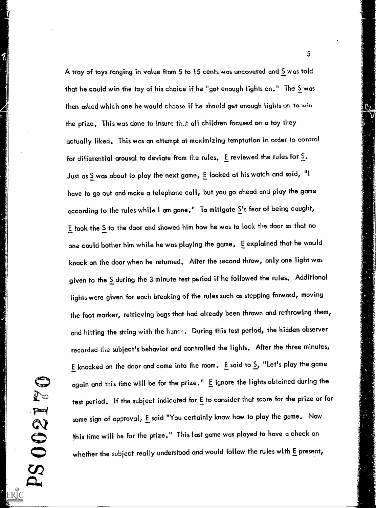A tray of toys ranging in value from 5 to 15 cents was uncovered and 5 was told that he could win the toy of his choice if he "got enough lights on." The  $\underline{S}$  was then asked which one he would choose if he should get enough lights on to win the prize. This was done to insure that all children focused on a toy they actually liked, This was an attempt at maximizing temptation in order to control for differential arousal to deviate from the rules. E reviewed the rules for  $\underline{S}_\bullet$ . Just as S was about to play the next game, E looked at his watch and said, "I have to go out and make a telephone call, but you go ahead and play the game according to the rules while I am gone." To mitigate  $\Sigma^1$ s fear of being caught,  $E$  took the  $S$  to the door and showed him how he was to lock the door so that no one could bother him while he was playing the game. E explained that he would knock on the door when he returned. After the second throw, only one light was given to the S during the 3 minute test period if he followed the rules. Additional lights were given for each breaking of the rules such as stepping forward, moving the foot marker, retrieving bags that had already been thrown and rethrowing them, and hitting the string with the ham's, During this test period, the hidden observer recorded the subject's behavior and controlled the lights. After the three minutes, E knocked on the door and came into the room. E said to 5, "Let's play the game again and this time will be for the prize." E ignore the lights obtained during the test period. If the subject indicated for E to consider that score for the prize or for some sign of approval, E said "You certainly know how to play the game. Now this time will be for the prize." This last game was played to have a check on whether the subject really understood and would follow the rules with E present,

G

T

7

PS 00

ERIC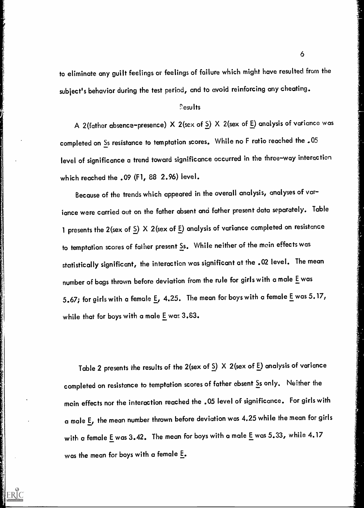to eliminate any guilt feelings or feelings of failure which might have resulted from the subject's behavior during the test period, and to avoid reinforcing any cheating.

## results

A 2(father absence-presence) X 2(sex of S) X 2(sex of E) analysis of variance was completed on Ss resistance to temptation scores. While no F ratio reached the .05 level of significance a trend toward significance occurred in the three-way interaction which reached the .09 (F1, 88 2.96) level.

Because of the trends which appeared in the overall analysis, analyses of variance were carried out on the father absent and father present data separately. Table 1 presents the 2(sex of  $\Sigma$ ) X 2(sex of  $E$ ) analysis of variance completed on resistance to temptation scores of father present Ss. While neither of the main effects was statistically significant, the interaction was significant at the .02 level. The mean number of bags thrown before deviation from the rule for girls with a male E was 5.67; for girls with a female  $\underline{\mathsf{E}}$ , 4.25. The mean for boys with a female  $\underline{\mathsf{E}}$  was 5.17, while that for boys with a male E was 3.83.

Table 2 presents the results of the 2(sex of  $\Sigma$ ) X 2(sex of  $E$ ) analysis of variance completed on resistance to temptation scores of father absent Ss only. Neither the main effects nor the interaction reached the .05 level of significance. For girls with <sup>a</sup> male E, the mean number thrown before deviation was 4.25 while the mean for girls with a female E was 3.42. The mean for boys with a male E was 5.33, while 4.17 was the mean for boys with a female E.

ERIC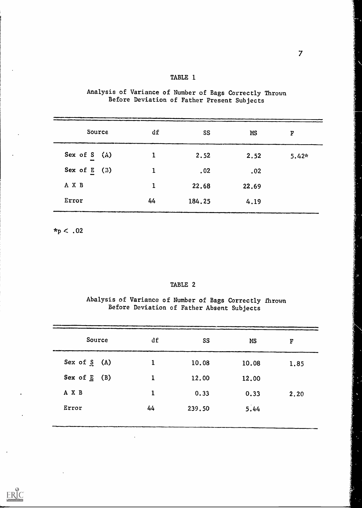| Source         | df           | SS     | <b>MS</b> | F       |
|----------------|--------------|--------|-----------|---------|
| Sex of S (A)   |              | 2.52   | 2.52      | $5.42*$ |
| Sex of $E$ (B) | 1            | .02    | .02       |         |
| A X B          | $\mathbf{1}$ | 22.68  | 22.69     |         |
| Error          | 44           | 184.25 | 4.19      |         |

Analysis of Variance of Number of Bags Correctly Thrown Before Deviation of Father Present Subjects

TABLE 1

 $*_p$  < .02

#### TABLE 2

Abalysis of Variance of Number of Bags Correctly fhrown Before Deviation of Father Absent Subjects

| Source            | df           | SS     | <b>MS</b> | F    |
|-------------------|--------------|--------|-----------|------|
| Sex of $S(A)$     | $\mathbf{1}$ | 10.08  | 10.08     | 1.85 |
| Sex of $E$<br>(B) | $\mathbf{1}$ | 12.00  | 12.00     |      |
| A X B             | 1            | 0.33   | 0.33      | 2.20 |
| Error             | 44           | 239.50 | 5.44      |      |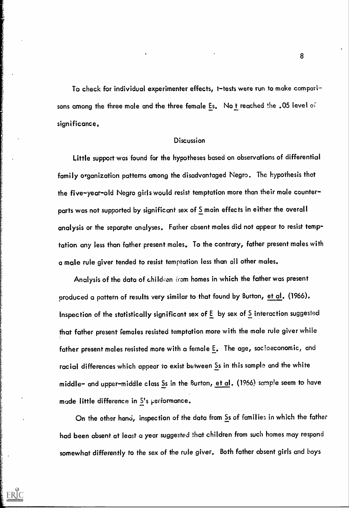To check for individual experimenter effects, t-tests were run to make comparisons among the three male and the three female Es. No t reached the .05 level of significance.

#### Discussion

Little support was found for the hypotheses based on observations of differential family organization patterns among the disadvantaged Negro. The hypothesis that the five-year-old Negro girls would resist temptation more than their male counterparts was not supported by significant sex of  $\underline{S}$  main effects in either the overall analysis or the separate analyses. Father absent males did not appear to resist temptation any less than father present males. To the contrary, father present males with a male rule giver tended to resist temptation less than all other males.

Analysis of the data of children from homes in which the father was present produced a pattern of results very similar to that found by Burton, et al. (1966). Inspection of the statistically significant sex of  $E$  by sex of  $S$  interaction suggested that father present females resisted temptation more with the male rule giver while father present males resisted more with a female E. The age, soc!oeconomic, and racial differences which appear to exist between Ss in this sample and the white middle- and upper-middle class Ss in the Burton, et al. (1966) sample seem to have made little difference in S's performance.

On the other hand, inspection of the data from Ss of families in which the father had been absent at least a year suggested that children from such homes may respond somewhat differently to the sex of the rule giver. Both father absent girls and boys

ERIC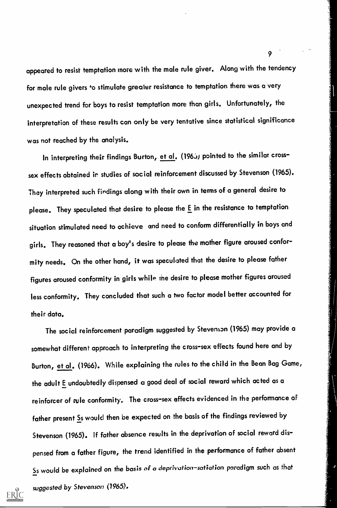appeared to resist temptation more with the male rule giver. Along with the tendency for male rule givers +o stimulate greater resistance to temptation there was a very unexpected trend for boys to resist temptation more than girls. Unfortunately, the interpretation of these results can only be very tentative since statistical significance was not reached by the analysis.

In interpreting their findings Burton, et al. (1965) pointed to the similar crosssex effects obtained ir studies of social reinforcement discussed by Stevenson (1965). They interpreted such findings along with their own in terms of a general desire to please. They speculated that desire to please the E in the resistance to temptation situation stimulated need to achieve and need to conform differentially in boys and girls. They reasoned that a boy's desire to please the mother figure aroused conformity needs. On the other hand, it was speculated that the desire to please father figures aroused conformity in girls while me desire to please mother figures aroused less conformity. They concluded that such a two factor model better accounted for their data.

The social reinforcement paradigm suggested by Stevenson (1965) may provide a somewhat different approach to interpreting the cross-sex effects found here and by Burton, et al. (1966). While explaining the rules to the child in the Bean Bag Game, the adult E undoubtedly dispensed a good deal of social reward which acted as a reinforcer of rule conformity. The cross-sex affects evidenced in the performance of father present Ss would then be expected on the basis of the findings reviewed by Stevenson (1965). If father absence results in the deprivation of social reward dispensed from a father figure, the trend identified in the performance of father absent Ss would be explained on the basis of a deprivation-satiation paradigm such as that suggested by Stevenson (1965).